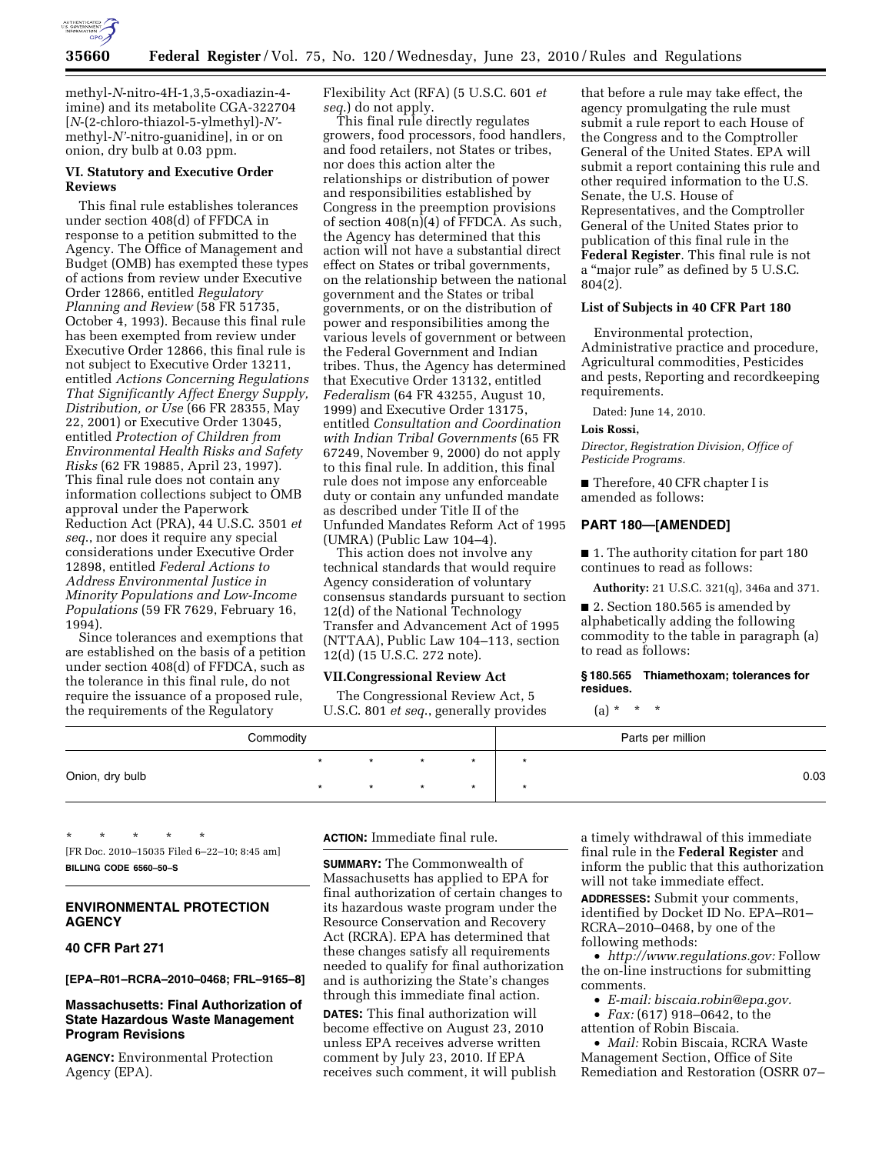

methyl-*N*-nitro-4H-1,3,5-oxadiazin-4 imine) and its metabolite CGA-322704 [*N*-(2-chloro-thiazol-5-ylmethyl)-*N'* methyl-*N'*-nitro-guanidine], in or on onion, dry bulb at 0.03 ppm.

### **VI. Statutory and Executive Order Reviews**

This final rule establishes tolerances under section 408(d) of FFDCA in response to a petition submitted to the Agency. The Office of Management and Budget (OMB) has exempted these types of actions from review under Executive Order 12866, entitled *Regulatory Planning and Review* (58 FR 51735, October 4, 1993). Because this final rule has been exempted from review under Executive Order 12866, this final rule is not subject to Executive Order 13211, entitled *Actions Concerning Regulations That Significantly Affect Energy Supply, Distribution, or Use* (66 FR 28355, May 22, 2001) or Executive Order 13045, entitled *Protection of Children from Environmental Health Risks and Safety Risks* (62 FR 19885, April 23, 1997). This final rule does not contain any information collections subject to OMB approval under the Paperwork Reduction Act (PRA), 44 U.S.C. 3501 *et seq*., nor does it require any special considerations under Executive Order 12898, entitled *Federal Actions to Address Environmental Justice in Minority Populations and Low-Income Populations* (59 FR 7629, February 16, 1994).

Since tolerances and exemptions that are established on the basis of a petition under section 408(d) of FFDCA, such as the tolerance in this final rule, do not require the issuance of a proposed rule, the requirements of the Regulatory

Flexibility Act (RFA) (5 U.S.C. 601 *et seq*.) do not apply.

This final rule directly regulates growers, food processors, food handlers, and food retailers, not States or tribes, nor does this action alter the relationships or distribution of power and responsibilities established by Congress in the preemption provisions of section 408(n)(4) of FFDCA. As such, the Agency has determined that this action will not have a substantial direct effect on States or tribal governments, on the relationship between the national government and the States or tribal governments, or on the distribution of power and responsibilities among the various levels of government or between the Federal Government and Indian tribes. Thus, the Agency has determined that Executive Order 13132, entitled *Federalism* (64 FR 43255, August 10, 1999) and Executive Order 13175, entitled *Consultation and Coordination with Indian Tribal Governments* (65 FR 67249, November 9, 2000) do not apply to this final rule. In addition, this final rule does not impose any enforceable duty or contain any unfunded mandate as described under Title II of the Unfunded Mandates Reform Act of 1995 (UMRA) (Public Law 104–4).

This action does not involve any technical standards that would require Agency consideration of voluntary consensus standards pursuant to section 12(d) of the National Technology Transfer and Advancement Act of 1995 (NTTAA), Public Law 104–113, section 12(d) (15 U.S.C. 272 note).

#### **VII.Congressional Review Act**

The Congressional Review Act, 5 U.S.C. 801 *et seq*., generally provides

that before a rule may take effect, the agency promulgating the rule must submit a rule report to each House of the Congress and to the Comptroller General of the United States. EPA will submit a report containing this rule and other required information to the U.S. Senate, the U.S. House of Representatives, and the Comptroller General of the United States prior to publication of this final rule in the **Federal Register**. This final rule is not a ''major rule'' as defined by 5 U.S.C. 804(2).

#### **List of Subjects in 40 CFR Part 180**

Environmental protection, Administrative practice and procedure, Agricultural commodities, Pesticides and pests, Reporting and recordkeeping requirements.

Dated: June 14, 2010.

#### **Lois Rossi,**

*Director, Registration Division, Office of Pesticide Programs.* 

■ Therefore, 40 CFR chapter I is amended as follows:

### **PART 180—[AMENDED]**

■ 1. The authority citation for part 180 continues to read as follows:

**Authority:** 21 U.S.C. 321(q), 346a and 371.

■ 2. Section 180.565 is amended by alphabetically adding the following commodity to the table in paragraph (a) to read as follows:

**§ 180.565 Thiamethoxam; tolerances for residues.** 

 $(a) * * * *$ 

| Commodity       |  |         |         |  | Parts per million |      |
|-----------------|--|---------|---------|--|-------------------|------|
|                 |  | $\star$ |         |  |                   |      |
| Onion, dry bulb |  | $\star$ | $\star$ |  |                   | 0.03 |

\* \* \* \* \* [FR Doc. 2010–15035 Filed 6–22–10; 8:45 am] **BILLING CODE 6560–50–S** 

### **ENVIRONMENTAL PROTECTION AGENCY**

**40 CFR Part 271** 

**[EPA–R01–RCRA–2010–0468; FRL–9165–8]** 

# **Massachusetts: Final Authorization of State Hazardous Waste Management Program Revisions**

**AGENCY:** Environmental Protection Agency (EPA).

**ACTION:** Immediate final rule.

**SUMMARY:** The Commonwealth of Massachusetts has applied to EPA for final authorization of certain changes to its hazardous waste program under the Resource Conservation and Recovery Act (RCRA). EPA has determined that these changes satisfy all requirements needed to qualify for final authorization and is authorizing the State's changes through this immediate final action.

**DATES:** This final authorization will become effective on August 23, 2010 unless EPA receives adverse written comment by July 23, 2010. If EPA receives such comment, it will publish a timely withdrawal of this immediate final rule in the **Federal Register** and inform the public that this authorization will not take immediate effect.

**ADDRESSES:** Submit your comments, identified by Docket ID No. EPA–R01– RCRA–2010–0468, by one of the following methods:

• *http://www.regulations.gov:* Follow the on-line instructions for submitting comments.

• *E-mail: biscaia.robin@epa.gov.* 

• *Fax:* (617) 918–0642, to the attention of Robin Biscaia.

• *Mail:* Robin Biscaia, RCRA Waste Management Section, Office of Site Remediation and Restoration (OSRR 07–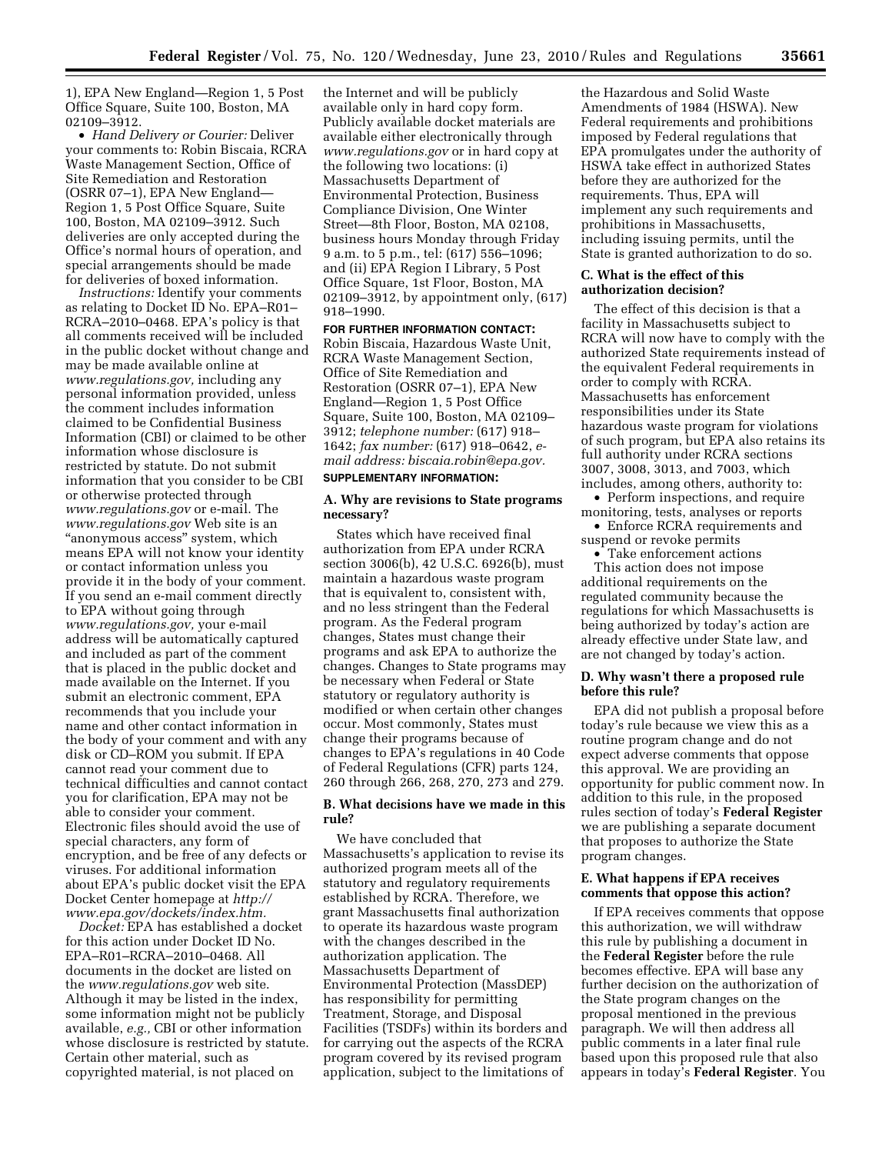1), EPA New England—Region 1, 5 Post Office Square, Suite 100, Boston, MA 02109–3912.

• *Hand Delivery or Courier:* Deliver your comments to: Robin Biscaia, RCRA Waste Management Section, Office of Site Remediation and Restoration (OSRR 07–1), EPA New England— Region 1, 5 Post Office Square, Suite 100, Boston, MA 02109–3912. Such deliveries are only accepted during the Office's normal hours of operation, and special arrangements should be made for deliveries of boxed information.

*Instructions:* Identify your comments as relating to Docket ID No. EPA–R01– RCRA–2010–0468. EPA's policy is that all comments received will be included in the public docket without change and may be made available online at *www.regulations.gov,* including any personal information provided, unless the comment includes information claimed to be Confidential Business Information (CBI) or claimed to be other information whose disclosure is restricted by statute. Do not submit information that you consider to be CBI or otherwise protected through *www.regulations.gov* or e-mail. The *www.regulations.gov* Web site is an ''anonymous access'' system, which means EPA will not know your identity or contact information unless you provide it in the body of your comment. If you send an e-mail comment directly to EPA without going through *www.regulations.gov,* your e-mail address will be automatically captured and included as part of the comment that is placed in the public docket and made available on the Internet. If you submit an electronic comment, EPA recommends that you include your name and other contact information in the body of your comment and with any disk or CD–ROM you submit. If EPA cannot read your comment due to technical difficulties and cannot contact you for clarification, EPA may not be able to consider your comment. Electronic files should avoid the use of special characters, any form of encryption, and be free of any defects or viruses. For additional information about EPA's public docket visit the EPA Docket Center homepage at *http:// www.epa.gov/dockets/index.htm.* 

*Docket:* EPA has established a docket for this action under Docket ID No. EPA–R01–RCRA–2010–0468. All documents in the docket are listed on the *www.regulations.gov* web site. Although it may be listed in the index, some information might not be publicly available, *e.g.,* CBI or other information whose disclosure is restricted by statute. Certain other material, such as copyrighted material, is not placed on

the Internet and will be publicly available only in hard copy form. Publicly available docket materials are available either electronically through *www.regulations.gov* or in hard copy at the following two locations: (i) Massachusetts Department of Environmental Protection, Business Compliance Division, One Winter Street—8th Floor, Boston, MA 02108, business hours Monday through Friday 9 a.m. to 5 p.m., tel: (617) 556–1096; and (ii) EPA Region I Library, 5 Post Office Square, 1st Floor, Boston, MA 02109–3912, by appointment only, (617) 918–1990.

# **FOR FURTHER INFORMATION CONTACT:**

Robin Biscaia, Hazardous Waste Unit, RCRA Waste Management Section, Office of Site Remediation and Restoration (OSRR 07–1), EPA New England—Region 1, 5 Post Office Square, Suite 100, Boston, MA 02109– 3912; *telephone number:* (617) 918– 1642; *fax number:* (617) 918–0642, *email address: biscaia.robin@epa.gov.* 

#### **SUPPLEMENTARY INFORMATION:**

### **A. Why are revisions to State programs necessary?**

States which have received final authorization from EPA under RCRA section 3006(b), 42 U.S.C. 6926(b), must maintain a hazardous waste program that is equivalent to, consistent with, and no less stringent than the Federal program. As the Federal program changes, States must change their programs and ask EPA to authorize the changes. Changes to State programs may be necessary when Federal or State statutory or regulatory authority is modified or when certain other changes occur. Most commonly, States must change their programs because of changes to EPA's regulations in 40 Code of Federal Regulations (CFR) parts 124, 260 through 266, 268, 270, 273 and 279.

# **B. What decisions have we made in this rule?**

We have concluded that Massachusetts's application to revise its authorized program meets all of the statutory and regulatory requirements established by RCRA. Therefore, we grant Massachusetts final authorization to operate its hazardous waste program with the changes described in the authorization application. The Massachusetts Department of Environmental Protection (MassDEP) has responsibility for permitting Treatment, Storage, and Disposal Facilities (TSDFs) within its borders and for carrying out the aspects of the RCRA program covered by its revised program application, subject to the limitations of

the Hazardous and Solid Waste Amendments of 1984 (HSWA). New Federal requirements and prohibitions imposed by Federal regulations that EPA promulgates under the authority of HSWA take effect in authorized States before they are authorized for the requirements. Thus, EPA will implement any such requirements and prohibitions in Massachusetts, including issuing permits, until the State is granted authorization to do so.

#### **C. What is the effect of this authorization decision?**

The effect of this decision is that a facility in Massachusetts subject to RCRA will now have to comply with the authorized State requirements instead of the equivalent Federal requirements in order to comply with RCRA. Massachusetts has enforcement responsibilities under its State hazardous waste program for violations of such program, but EPA also retains its full authority under RCRA sections 3007, 3008, 3013, and 7003, which includes, among others, authority to:

• Perform inspections, and require monitoring, tests, analyses or reports • Enforce RCRA requirements and

suspend or revoke permits

• Take enforcement actions This action does not impose additional requirements on the regulated community because the regulations for which Massachusetts is being authorized by today's action are already effective under State law, and are not changed by today's action.

## **D. Why wasn't there a proposed rule before this rule?**

EPA did not publish a proposal before today's rule because we view this as a routine program change and do not expect adverse comments that oppose this approval. We are providing an opportunity for public comment now. In addition to this rule, in the proposed rules section of today's **Federal Register**  we are publishing a separate document that proposes to authorize the State program changes.

#### **E. What happens if EPA receives comments that oppose this action?**

If EPA receives comments that oppose this authorization, we will withdraw this rule by publishing a document in the **Federal Register** before the rule becomes effective. EPA will base any further decision on the authorization of the State program changes on the proposal mentioned in the previous paragraph. We will then address all public comments in a later final rule based upon this proposed rule that also appears in today's **Federal Register**. You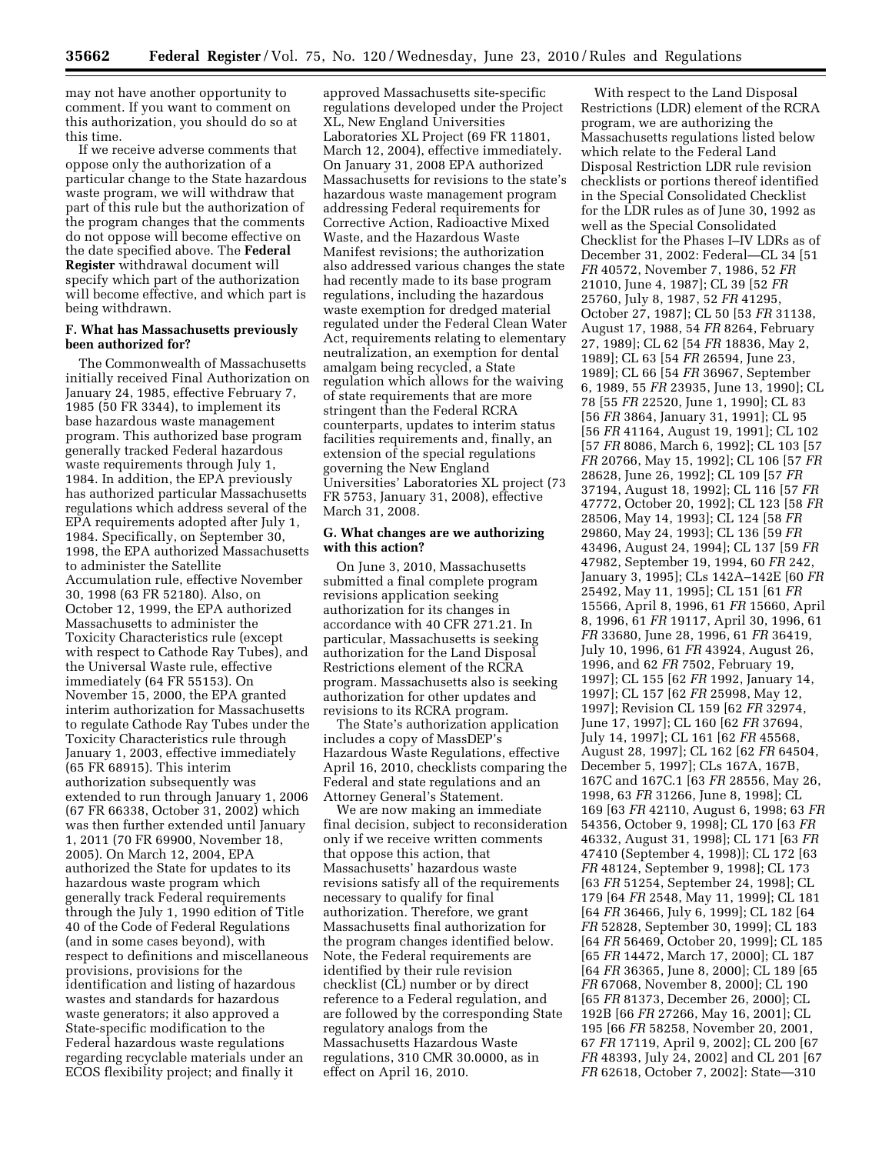may not have another opportunity to comment. If you want to comment on this authorization, you should do so at this time.

If we receive adverse comments that oppose only the authorization of a particular change to the State hazardous waste program, we will withdraw that part of this rule but the authorization of the program changes that the comments do not oppose will become effective on the date specified above. The **Federal Register** withdrawal document will specify which part of the authorization will become effective, and which part is being withdrawn.

#### **F. What has Massachusetts previously been authorized for?**

The Commonwealth of Massachusetts initially received Final Authorization on January 24, 1985, effective February 7, 1985 (50 FR 3344), to implement its base hazardous waste management program. This authorized base program generally tracked Federal hazardous waste requirements through July 1, 1984. In addition, the EPA previously has authorized particular Massachusetts regulations which address several of the EPA requirements adopted after July 1, 1984. Specifically, on September 30, 1998, the EPA authorized Massachusetts to administer the Satellite Accumulation rule, effective November 30, 1998 (63 FR 52180). Also, on October 12, 1999, the EPA authorized Massachusetts to administer the Toxicity Characteristics rule (except with respect to Cathode Ray Tubes), and the Universal Waste rule, effective immediately (64 FR 55153). On November 15, 2000, the EPA granted interim authorization for Massachusetts to regulate Cathode Ray Tubes under the Toxicity Characteristics rule through January 1, 2003, effective immediately (65 FR 68915). This interim authorization subsequently was extended to run through January 1, 2006 (67 FR 66338, October 31, 2002) which was then further extended until January 1, 2011 (70 FR 69900, November 18, 2005). On March 12, 2004, EPA authorized the State for updates to its hazardous waste program which generally track Federal requirements through the July 1, 1990 edition of Title 40 of the Code of Federal Regulations (and in some cases beyond), with respect to definitions and miscellaneous provisions, provisions for the identification and listing of hazardous wastes and standards for hazardous waste generators; it also approved a State-specific modification to the Federal hazardous waste regulations regarding recyclable materials under an ECOS flexibility project; and finally it

approved Massachusetts site-specific regulations developed under the Project XL, New England Universities Laboratories XL Project (69 FR 11801, March 12, 2004), effective immediately. On January 31, 2008 EPA authorized Massachusetts for revisions to the state's hazardous waste management program addressing Federal requirements for Corrective Action, Radioactive Mixed Waste, and the Hazardous Waste Manifest revisions; the authorization also addressed various changes the state had recently made to its base program regulations, including the hazardous waste exemption for dredged material regulated under the Federal Clean Water Act, requirements relating to elementary neutralization, an exemption for dental amalgam being recycled, a State regulation which allows for the waiving of state requirements that are more stringent than the Federal RCRA counterparts, updates to interim status facilities requirements and, finally, an extension of the special regulations governing the New England Universities' Laboratories XL project (73 FR 5753, January 31, 2008), effective March 31, 2008.

#### **G. What changes are we authorizing with this action?**

On June 3, 2010, Massachusetts submitted a final complete program revisions application seeking authorization for its changes in accordance with 40 CFR 271.21. In particular, Massachusetts is seeking authorization for the Land Disposal Restrictions element of the RCRA program. Massachusetts also is seeking authorization for other updates and revisions to its RCRA program.

The State's authorization application includes a copy of MassDEP's Hazardous Waste Regulations, effective April 16, 2010, checklists comparing the Federal and state regulations and an Attorney General's Statement.

We are now making an immediate final decision, subject to reconsideration only if we receive written comments that oppose this action, that Massachusetts' hazardous waste revisions satisfy all of the requirements necessary to qualify for final authorization. Therefore, we grant Massachusetts final authorization for the program changes identified below. Note, the Federal requirements are identified by their rule revision checklist (CL) number or by direct reference to a Federal regulation, and are followed by the corresponding State regulatory analogs from the Massachusetts Hazardous Waste regulations, 310 CMR 30.0000, as in effect on April 16, 2010.

With respect to the Land Disposal Restrictions (LDR) element of the RCRA program, we are authorizing the Massachusetts regulations listed below which relate to the Federal Land Disposal Restriction LDR rule revision checklists or portions thereof identified in the Special Consolidated Checklist for the LDR rules as of June 30, 1992 as well as the Special Consolidated Checklist for the Phases I–IV LDRs as of December 31, 2002: Federal—CL 34 [51 *FR* 40572, November 7, 1986, 52 *FR*  21010, June 4, 1987]; CL 39 [52 *FR*  25760, July 8, 1987, 52 *FR* 41295, October 27, 1987]; CL 50 [53 *FR* 31138, August 17, 1988, 54 *FR* 8264, February 27, 1989]; CL 62 [54 *FR* 18836, May 2, 1989]; CL 63 [54 *FR* 26594, June 23, 1989]; CL 66 [54 *FR* 36967, September 6, 1989, 55 *FR* 23935, June 13, 1990]; CL 78 [55 *FR* 22520, June 1, 1990]; CL 83 [56 *FR* 3864, January 31, 1991]; CL 95 [56 *FR* 41164, August 19, 1991]; CL 102 [57 *FR* 8086, March 6, 1992]; CL 103 [57 *FR* 20766, May 15, 1992]; CL 106 [57 *FR*  28628, June 26, 1992]; CL 109 [57 *FR*  37194, August 18, 1992]; CL 116 [57 *FR*  47772, October 20, 1992]; CL 123 [58 *FR*  28506, May 14, 1993]; CL 124 [58 *FR*  29860, May 24, 1993]; CL 136 [59 *FR*  43496, August 24, 1994]; CL 137 [59 *FR*  47982, September 19, 1994, 60 *FR* 242, January 3, 1995]; CLs 142A–142E [60 *FR*  25492, May 11, 1995]; CL 151 [61 *FR*  15566, April 8, 1996, 61 *FR* 15660, April 8, 1996, 61 *FR* 19117, April 30, 1996, 61 *FR* 33680, June 28, 1996, 61 *FR* 36419, July 10, 1996, 61 *FR* 43924, August 26, 1996, and 62 *FR* 7502, February 19, 1997]; CL 155 [62 *FR* 1992, January 14, 1997]; CL 157 [62 *FR* 25998, May 12, 1997]; Revision CL 159 [62 *FR* 32974, June 17, 1997]; CL 160 [62 *FR* 37694, July 14, 1997]; CL 161 [62 *FR* 45568, August 28, 1997]; CL 162 [62 *FR* 64504, December 5, 1997]; CLs 167A, 167B, 167C and 167C.1 [63 *FR* 28556, May 26, 1998, 63 *FR* 31266, June 8, 1998]; CL 169 [63 *FR* 42110, August 6, 1998; 63 *FR*  54356, October 9, 1998]; CL 170 [63 *FR*  46332, August 31, 1998]; CL 171 [63 *FR*  47410 (September 4, 1998)]; CL 172 [63 *FR* 48124, September 9, 1998]; CL 173 [63 *FR* 51254, September 24, 1998]; CL 179 [64 *FR* 2548, May 11, 1999]; CL 181 [64 *FR* 36466, July 6, 1999]; CL 182 [64 *FR* 52828, September 30, 1999]; CL 183 [64 *FR* 56469, October 20, 1999]; CL 185 [65 *FR* 14472, March 17, 2000]; CL 187 [64 *FR* 36365, June 8, 2000]; CL 189 [65 *FR* 67068, November 8, 2000]; CL 190 [65 *FR* 81373, December 26, 2000]; CL 192B [66 *FR* 27266, May 16, 2001]; CL 195 [66 *FR* 58258, November 20, 2001, 67 *FR* 17119, April 9, 2002]; CL 200 [67 *FR* 48393, July 24, 2002] and CL 201 [67 *FR* 62618, October 7, 2002]: State—310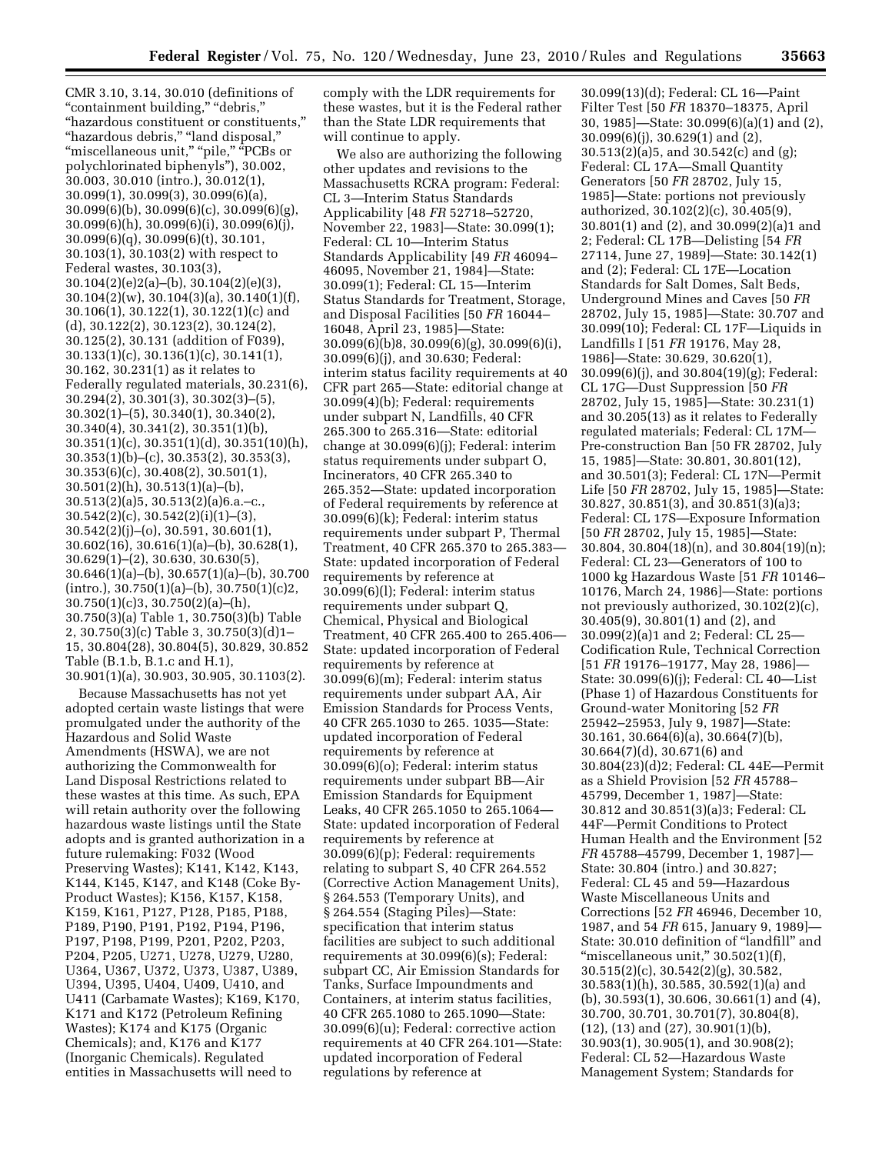CMR 3.10, 3.14, 30.010 (definitions of ''containment building,'' ''debris,'' ''hazardous constituent or constituents,'' ''hazardous debris,'' ''land disposal,'' ''miscellaneous unit,'' ''pile,'' ''PCBs or polychlorinated biphenyls''), 30.002, 30.003, 30.010 (intro.), 30.012(1), 30.099(1), 30.099(3), 30.099(6)(a), 30.099(6)(b), 30.099(6)(c), 30.099(6)(g), 30.099(6)(h), 30.099(6)(i), 30.099(6)(j), 30.099(6)(q), 30.099(6)(t), 30.101, 30.103(1), 30.103(2) with respect to Federal wastes, 30.103(3), 30.104(2)(e)2(a)–(b), 30.104(2)(e)(3), 30.104(2)(w), 30.104(3)(a), 30.140(1)(f), 30.106(1), 30.122(1), 30.122(1)(c) and (d), 30.122(2), 30.123(2), 30.124(2), 30.125(2), 30.131 (addition of F039), 30.133(1)(c), 30.136(1)(c), 30.141(1), 30.162, 30.231(1) as it relates to Federally regulated materials, 30.231(6), 30.294(2), 30.301(3), 30.302(3)–(5), 30.302(1)–(5), 30.340(1), 30.340(2), 30.340(4), 30.341(2), 30.351(1)(b), 30.351(1)(c), 30.351(1)(d), 30.351(10)(h), 30.353(1)(b)–(c), 30.353(2), 30.353(3), 30.353(6)(c), 30.408(2), 30.501(1), 30.501(2)(h), 30.513(1)(a)–(b), 30.513(2)(a)5, 30.513(2)(a)6.a.–c., 30.542(2)(c), 30.542(2)(i)(1)–(3), 30.542(2)(j)–(o), 30.591, 30.601(1), 30.602(16), 30.616(1)(a)–(b), 30.628(1), 30.629(1)–(2), 30.630, 30.630(5), 30.646(1)(a)–(b), 30.657(1)(a)–(b), 30.700  $(intro.), 30.750(1)(a)–(b), 30.750(1)(c)2,$ 30.750(1)(c)3, 30.750(2)(a)–(h), 30.750(3)(a) Table 1, 30.750(3)(b) Table 2, 30.750(3)(c) Table 3, 30.750(3)(d)1– 15, 30.804(28), 30.804(5), 30.829, 30.852 Table (B.1.b, B.1.c and H.1), 30.901(1)(a), 30.903, 30.905, 30.1103(2).

Because Massachusetts has not yet adopted certain waste listings that were promulgated under the authority of the Hazardous and Solid Waste Amendments (HSWA), we are not authorizing the Commonwealth for Land Disposal Restrictions related to these wastes at this time. As such, EPA will retain authority over the following hazardous waste listings until the State adopts and is granted authorization in a future rulemaking: F032 (Wood Preserving Wastes); K141, K142, K143, K144, K145, K147, and K148 (Coke By-Product Wastes); K156, K157, K158, K159, K161, P127, P128, P185, P188, P189, P190, P191, P192, P194, P196, P197, P198, P199, P201, P202, P203, P204, P205, U271, U278, U279, U280, U364, U367, U372, U373, U387, U389, U394, U395, U404, U409, U410, and U411 (Carbamate Wastes); K169, K170, K171 and K172 (Petroleum Refining Wastes); K174 and K175 (Organic Chemicals); and, K176 and K177 (Inorganic Chemicals). Regulated entities in Massachusetts will need to

comply with the LDR requirements for these wastes, but it is the Federal rather than the State LDR requirements that will continue to apply.

We also are authorizing the following other updates and revisions to the Massachusetts RCRA program: Federal: CL 3—Interim Status Standards Applicability [48 *FR* 52718–52720, November 22, 1983]—State: 30.099(1); Federal: CL 10—Interim Status Standards Applicability [49 *FR* 46094– 46095, November 21, 1984]—State: 30.099(1); Federal: CL 15—Interim Status Standards for Treatment, Storage, and Disposal Facilities [50 *FR* 16044– 16048, April 23, 1985]—State: 30.099(6)(b)8, 30.099(6)(g), 30.099(6)(i), 30.099(6)(j), and 30.630; Federal: interim status facility requirements at 40 CFR part 265—State: editorial change at 30.099(4)(b); Federal: requirements under subpart N, Landfills, 40 CFR 265.300 to 265.316—State: editorial change at 30.099(6)(j); Federal: interim status requirements under subpart O, Incinerators, 40 CFR 265.340 to 265.352—State: updated incorporation of Federal requirements by reference at 30.099(6)(k); Federal: interim status requirements under subpart P, Thermal Treatment, 40 CFR 265.370 to 265.383— State: updated incorporation of Federal requirements by reference at 30.099(6)(l); Federal: interim status requirements under subpart Q, Chemical, Physical and Biological Treatment, 40 CFR 265.400 to 265.406— State: updated incorporation of Federal requirements by reference at 30.099(6)(m); Federal: interim status requirements under subpart AA, Air Emission Standards for Process Vents, 40 CFR 265.1030 to 265. 1035—State: updated incorporation of Federal requirements by reference at 30.099(6)(o); Federal: interim status requirements under subpart BB—Air Emission Standards for Equipment Leaks, 40 CFR 265.1050 to 265.1064— State: updated incorporation of Federal requirements by reference at 30.099(6)(p); Federal: requirements relating to subpart S, 40 CFR 264.552 (Corrective Action Management Units), § 264.553 (Temporary Units), and § 264.554 (Staging Piles)—State: specification that interim status facilities are subject to such additional requirements at 30.099(6)(s); Federal: subpart CC, Air Emission Standards for Tanks, Surface Impoundments and Containers, at interim status facilities, 40 CFR 265.1080 to 265.1090—State: 30.099(6)(u); Federal: corrective action requirements at 40 CFR 264.101—State: updated incorporation of Federal regulations by reference at

30.099(13)(d); Federal: CL 16—Paint Filter Test [50 *FR* 18370–18375, April 30, 1985]—State: 30.099(6)(a)(1) and (2), 30.099(6)(j), 30.629(1) and (2), 30.513(2)(a)5, and 30.542(c) and (g); Federal: CL 17A—Small Quantity Generators [50 *FR* 28702, July 15, 1985]—State: portions not previously authorized, 30.102(2)(c), 30.405(9), 30.801(1) and (2), and 30.099(2)(a)1 and 2; Federal: CL 17B—Delisting [54 *FR*  27114, June 27, 1989]—State: 30.142(1) and (2); Federal: CL 17E—Location Standards for Salt Domes, Salt Beds, Underground Mines and Caves [50 *FR*  28702, July 15, 1985]—State: 30.707 and 30.099(10); Federal: CL 17F—Liquids in Landfills I [51 *FR* 19176, May 28, 1986]—State: 30.629, 30.620(1), 30.099(6)(j), and 30.804(19)(g); Federal: CL 17G—Dust Suppression [50 *FR*  28702, July 15, 1985]—State: 30.231(1) and 30.205(13) as it relates to Federally regulated materials; Federal: CL 17M— Pre-construction Ban [50 FR 28702, July 15, 1985]—State: 30.801, 30.801(12), and 30.501(3); Federal: CL 17N—Permit Life [50 *FR* 28702, July 15, 1985]—State: 30.827, 30.851(3), and 30.851(3)(a)3; Federal: CL 17S—Exposure Information [50 *FR* 28702, July 15, 1985]—State: 30.804, 30.804(18)(n), and 30.804(19)(n); Federal: CL 23—Generators of 100 to 1000 kg Hazardous Waste [51 *FR* 10146– 10176, March 24, 1986]—State: portions not previously authorized, 30.102(2)(c), 30.405(9), 30.801(1) and (2), and 30.099(2)(a)1 and 2; Federal: CL 25— Codification Rule, Technical Correction [51 *FR* 19176–19177, May 28, 1986]— State: 30.099(6)(j); Federal: CL 40—List (Phase 1) of Hazardous Constituents for Ground-water Monitoring [52 *FR*  25942–25953, July 9, 1987]—State: 30.161, 30.664(6)(a), 30.664(7)(b), 30.664(7)(d), 30.671(6) and 30.804(23)(d)2; Federal: CL 44E—Permit as a Shield Provision [52 *FR* 45788– 45799, December 1, 1987]—State: 30.812 and 30.851(3)(a)3; Federal: CL 44F—Permit Conditions to Protect Human Health and the Environment [52 *FR* 45788–45799, December 1, 1987]— State: 30.804 (intro.) and 30.827; Federal: CL 45 and 59—Hazardous Waste Miscellaneous Units and Corrections [52 *FR* 46946, December 10, 1987, and 54 *FR* 615, January 9, 1989]— State: 30.010 definition of "landfill" and "miscellaneous unit,"  $30.502(1)(f)$ , 30.515(2)(c), 30.542(2)(g), 30.582, 30.583(1)(h), 30.585, 30.592(1)(a) and (b), 30.593(1), 30.606, 30.661(1) and (4), 30.700, 30.701, 30.701(7), 30.804(8), (12), (13) and (27), 30.901(1)(b), 30.903(1), 30.905(1), and 30.908(2); Federal: CL 52—Hazardous Waste Management System; Standards for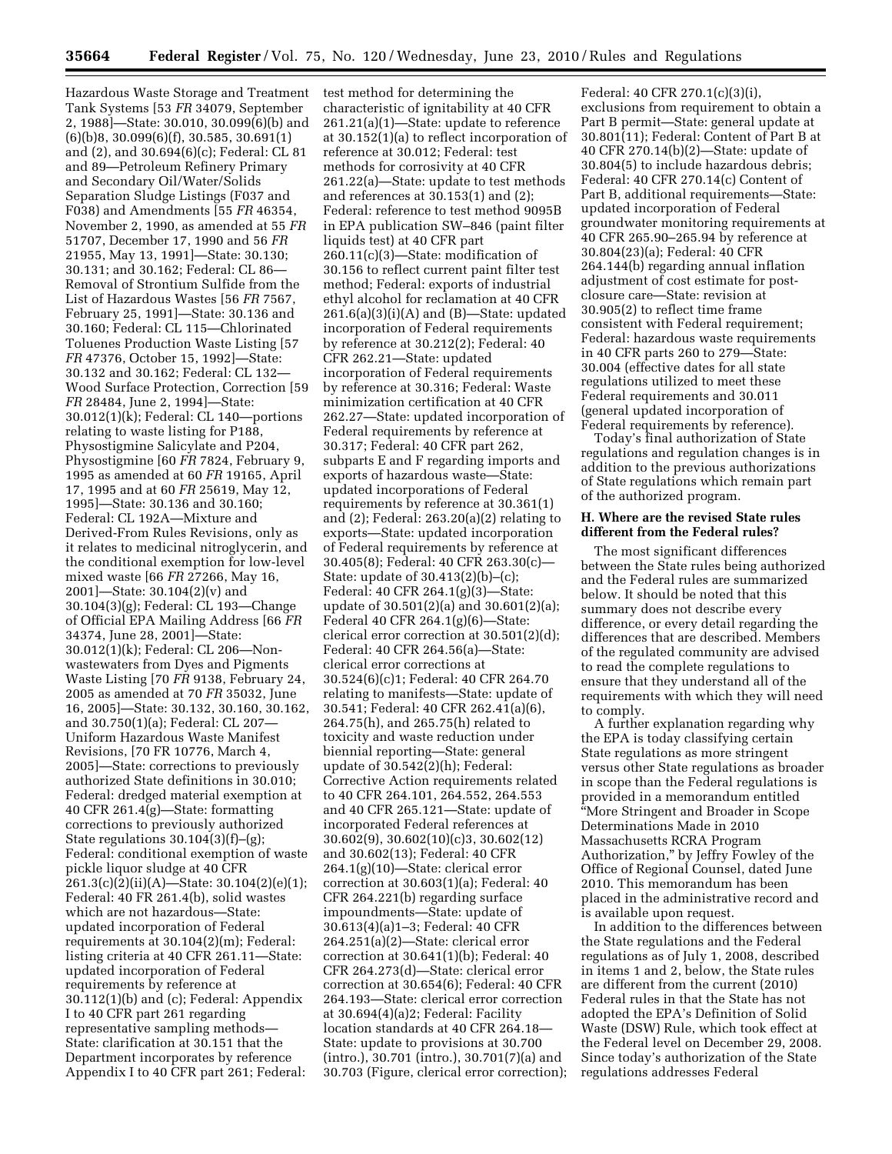Hazardous Waste Storage and Treatment Tank Systems [53 *FR* 34079, September 2, 1988]—State: 30.010, 30.099(6)(b) and (6)(b)8, 30.099(6)(f), 30.585, 30.691(1) and (2), and 30.694(6)(c); Federal: CL 81 and 89—Petroleum Refinery Primary and Secondary Oil/Water/Solids Separation Sludge Listings (F037 and F038) and Amendments [55 *FR* 46354, November 2, 1990, as amended at 55 *FR*  51707, December 17, 1990 and 56 *FR*  21955, May 13, 1991]—State: 30.130; 30.131; and 30.162; Federal: CL 86— Removal of Strontium Sulfide from the List of Hazardous Wastes [56 *FR* 7567, February 25, 1991]—State: 30.136 and 30.160; Federal: CL 115—Chlorinated Toluenes Production Waste Listing [57 *FR* 47376, October 15, 1992]—State: 30.132 and 30.162; Federal: CL 132— Wood Surface Protection, Correction [59 *FR* 28484, June 2, 1994]—State: 30.012(1)(k); Federal: CL 140—portions relating to waste listing for P188, Physostigmine Salicylate and P204, Physostigmine [60 *FR* 7824, February 9, 1995 as amended at 60 *FR* 19165, April 17, 1995 and at 60 *FR* 25619, May 12, 1995]—State: 30.136 and 30.160; Federal: CL 192A—Mixture and Derived-From Rules Revisions, only as it relates to medicinal nitroglycerin, and the conditional exemption for low-level mixed waste [66 *FR* 27266, May 16, 2001]—State: 30.104(2)(v) and 30.104(3)(g); Federal: CL 193—Change of Official EPA Mailing Address [66 *FR*  34374, June 28, 2001]—State: 30.012(1)(k); Federal: CL 206—Nonwastewaters from Dyes and Pigments Waste Listing [70 *FR* 9138, February 24, 2005 as amended at 70 *FR* 35032, June 16, 2005]—State: 30.132, 30.160, 30.162, and 30.750(1)(a); Federal: CL 207— Uniform Hazardous Waste Manifest Revisions, [70 FR 10776, March 4, 2005]—State: corrections to previously authorized State definitions in 30.010; Federal: dredged material exemption at 40 CFR 261.4(g)—State: formatting corrections to previously authorized State regulations 30.104(3)(f)–(g); Federal: conditional exemption of waste pickle liquor sludge at 40 CFR 261.3(c)(2)(ii)(A)—State: 30.104(2)(e)(1); Federal: 40 FR 261.4(b), solid wastes which are not hazardous—State: updated incorporation of Federal requirements at 30.104(2)(m); Federal: listing criteria at 40 CFR 261.11—State: updated incorporation of Federal requirements by reference at 30.112(1)(b) and (c); Federal: Appendix I to 40 CFR part 261 regarding representative sampling methods— State: clarification at 30.151 that the Department incorporates by reference Appendix I to 40 CFR part 261; Federal:

test method for determining the characteristic of ignitability at 40 CFR 261.21(a)(1)—State: update to reference at 30.152(1)(a) to reflect incorporation of reference at 30.012; Federal: test methods for corrosivity at 40 CFR 261.22(a)—State: update to test methods and references at 30.153(1) and (2); Federal: reference to test method 9095B in EPA publication SW–846 (paint filter liquids test) at 40 CFR part 260.11(c)(3)—State: modification of 30.156 to reflect current paint filter test method; Federal: exports of industrial ethyl alcohol for reclamation at 40 CFR  $261.6(a)(3)(i)(A)$  and  $(B)$ —State: updated incorporation of Federal requirements by reference at 30.212(2); Federal: 40 CFR 262.21—State: updated incorporation of Federal requirements by reference at 30.316; Federal: Waste minimization certification at 40 CFR 262.27—State: updated incorporation of Federal requirements by reference at 30.317; Federal: 40 CFR part 262, subparts E and F regarding imports and exports of hazardous waste—State: updated incorporations of Federal requirements by reference at 30.361(1) and (2); Federal: 263.20(a)(2) relating to exports—State: updated incorporation of Federal requirements by reference at 30.405(8); Federal: 40 CFR 263.30(c)— State: update of 30.413(2)(b)–(c); Federal: 40 CFR 264.1(g)(3)—State: update of 30.501(2)(a) and 30.601(2)(a); Federal 40 CFR 264.1(g)(6)—State: clerical error correction at 30.501(2)(d); Federal: 40 CFR 264.56(a)—State: clerical error corrections at 30.524(6)(c)1; Federal: 40 CFR 264.70 relating to manifests—State: update of 30.541; Federal: 40 CFR 262.41(a)(6), 264.75(h), and 265.75(h) related to toxicity and waste reduction under biennial reporting—State: general update of 30.542(2)(h); Federal: Corrective Action requirements related to 40 CFR 264.101, 264.552, 264.553 and 40 CFR 265.121—State: update of incorporated Federal references at 30.602(9), 30.602(10)(c)3, 30.602(12) and 30.602(13); Federal: 40 CFR 264.1(g)(10)—State: clerical error correction at 30.603(1)(a); Federal: 40 CFR 264.221(b) regarding surface impoundments—State: update of 30.613(4)(a)1–3; Federal: 40 CFR 264.251(a)(2)—State: clerical error correction at 30.641(1)(b); Federal: 40 CFR 264.273(d)—State: clerical error correction at 30.654(6); Federal: 40 CFR 264.193—State: clerical error correction at 30.694(4)(a)2; Federal: Facility location standards at 40 CFR 264.18— State: update to provisions at 30.700 (intro.), 30.701 (intro.), 30.701(7)(a) and 30.703 (Figure, clerical error correction);

Federal: 40 CFR 270.1(c)(3)(i), exclusions from requirement to obtain a Part B permit—State: general update at 30.801(11); Federal: Content of Part B at 40 CFR 270.14(b)(2)—State: update of 30.804(5) to include hazardous debris; Federal: 40 CFR 270.14(c) Content of Part B, additional requirements—State: updated incorporation of Federal groundwater monitoring requirements at 40 CFR 265.90–265.94 by reference at 30.804(23)(a); Federal: 40 CFR 264.144(b) regarding annual inflation adjustment of cost estimate for postclosure care—State: revision at 30.905(2) to reflect time frame consistent with Federal requirement; Federal: hazardous waste requirements in 40 CFR parts 260 to 279—State: 30.004 (effective dates for all state regulations utilized to meet these Federal requirements and 30.011 (general updated incorporation of Federal requirements by reference).

Today's final authorization of State regulations and regulation changes is in addition to the previous authorizations of State regulations which remain part of the authorized program.

#### **H. Where are the revised State rules different from the Federal rules?**

The most significant differences between the State rules being authorized and the Federal rules are summarized below. It should be noted that this summary does not describe every difference, or every detail regarding the differences that are described. Members of the regulated community are advised to read the complete regulations to ensure that they understand all of the requirements with which they will need to comply.

A further explanation regarding why the EPA is today classifying certain State regulations as more stringent versus other State regulations as broader in scope than the Federal regulations is provided in a memorandum entitled ''More Stringent and Broader in Scope Determinations Made in 2010 Massachusetts RCRA Program Authorization,'' by Jeffry Fowley of the Office of Regional Counsel, dated June 2010. This memorandum has been placed in the administrative record and is available upon request.

In addition to the differences between the State regulations and the Federal regulations as of July 1, 2008, described in items 1 and 2, below, the State rules are different from the current (2010) Federal rules in that the State has not adopted the EPA's Definition of Solid Waste (DSW) Rule, which took effect at the Federal level on December 29, 2008. Since today's authorization of the State regulations addresses Federal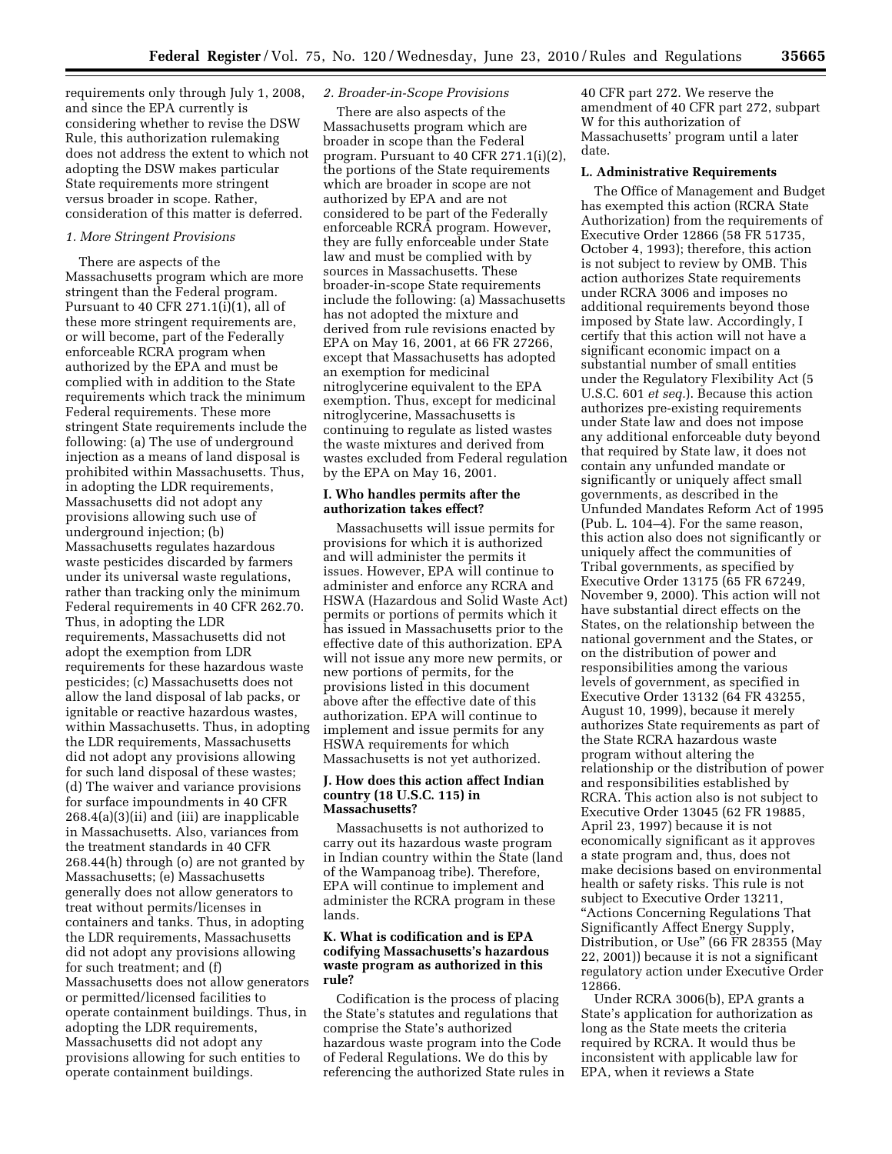requirements only through July 1, 2008, and since the EPA currently is considering whether to revise the DSW Rule, this authorization rulemaking does not address the extent to which not adopting the DSW makes particular State requirements more stringent versus broader in scope. Rather, consideration of this matter is deferred.

#### *1. More Stringent Provisions*

There are aspects of the Massachusetts program which are more stringent than the Federal program. Pursuant to 40 CFR 271.1(i)(1), all of these more stringent requirements are, or will become, part of the Federally enforceable RCRA program when authorized by the EPA and must be complied with in addition to the State requirements which track the minimum Federal requirements. These more stringent State requirements include the following: (a) The use of underground injection as a means of land disposal is prohibited within Massachusetts. Thus, in adopting the LDR requirements, Massachusetts did not adopt any provisions allowing such use of underground injection; (b) Massachusetts regulates hazardous waste pesticides discarded by farmers under its universal waste regulations, rather than tracking only the minimum Federal requirements in 40 CFR 262.70. Thus, in adopting the LDR requirements, Massachusetts did not adopt the exemption from LDR requirements for these hazardous waste pesticides; (c) Massachusetts does not allow the land disposal of lab packs, or ignitable or reactive hazardous wastes, within Massachusetts. Thus, in adopting the LDR requirements, Massachusetts did not adopt any provisions allowing for such land disposal of these wastes; (d) The waiver and variance provisions for surface impoundments in 40 CFR 268.4(a)(3)(ii) and (iii) are inapplicable in Massachusetts. Also, variances from the treatment standards in 40 CFR 268.44(h) through (o) are not granted by Massachusetts; (e) Massachusetts generally does not allow generators to treat without permits/licenses in containers and tanks. Thus, in adopting the LDR requirements, Massachusetts did not adopt any provisions allowing for such treatment; and (f) Massachusetts does not allow generators or permitted/licensed facilities to operate containment buildings. Thus, in adopting the LDR requirements, Massachusetts did not adopt any provisions allowing for such entities to operate containment buildings.

# *2. Broader-in-Scope Provisions*

There are also aspects of the Massachusetts program which are broader in scope than the Federal program. Pursuant to 40 CFR 271.1(i)(2), the portions of the State requirements which are broader in scope are not authorized by EPA and are not considered to be part of the Federally enforceable RCRA program. However, they are fully enforceable under State law and must be complied with by sources in Massachusetts. These broader-in-scope State requirements include the following: (a) Massachusetts has not adopted the mixture and derived from rule revisions enacted by EPA on May 16, 2001, at 66 FR 27266, except that Massachusetts has adopted an exemption for medicinal nitroglycerine equivalent to the EPA exemption. Thus, except for medicinal nitroglycerine, Massachusetts is continuing to regulate as listed wastes the waste mixtures and derived from wastes excluded from Federal regulation by the EPA on May 16, 2001.

#### **I. Who handles permits after the authorization takes effect?**

Massachusetts will issue permits for provisions for which it is authorized and will administer the permits it issues. However, EPA will continue to administer and enforce any RCRA and HSWA (Hazardous and Solid Waste Act) permits or portions of permits which it has issued in Massachusetts prior to the effective date of this authorization. EPA will not issue any more new permits, or new portions of permits, for the provisions listed in this document above after the effective date of this authorization. EPA will continue to implement and issue permits for any HSWA requirements for which Massachusetts is not yet authorized.

### **J. How does this action affect Indian country (18 U.S.C. 115) in Massachusetts?**

Massachusetts is not authorized to carry out its hazardous waste program in Indian country within the State (land of the Wampanoag tribe). Therefore, EPA will continue to implement and administer the RCRA program in these lands.

# **K. What is codification and is EPA codifying Massachusetts's hazardous waste program as authorized in this rule?**

Codification is the process of placing the State's statutes and regulations that comprise the State's authorized hazardous waste program into the Code of Federal Regulations. We do this by referencing the authorized State rules in 40 CFR part 272. We reserve the amendment of 40 CFR part 272, subpart W for this authorization of Massachusetts' program until a later date.

#### **L. Administrative Requirements**

The Office of Management and Budget has exempted this action (RCRA State Authorization) from the requirements of Executive Order 12866 (58 FR 51735, October 4, 1993); therefore, this action is not subject to review by OMB. This action authorizes State requirements under RCRA 3006 and imposes no additional requirements beyond those imposed by State law. Accordingly, I certify that this action will not have a significant economic impact on a substantial number of small entities under the Regulatory Flexibility Act (5 U.S.C. 601 *et seq.*). Because this action authorizes pre-existing requirements under State law and does not impose any additional enforceable duty beyond that required by State law, it does not contain any unfunded mandate or significantly or uniquely affect small governments, as described in the Unfunded Mandates Reform Act of 1995 (Pub. L. 104–4). For the same reason, this action also does not significantly or uniquely affect the communities of Tribal governments, as specified by Executive Order 13175 (65 FR 67249, November 9, 2000). This action will not have substantial direct effects on the States, on the relationship between the national government and the States, or on the distribution of power and responsibilities among the various levels of government, as specified in Executive Order 13132 (64 FR 43255, August 10, 1999), because it merely authorizes State requirements as part of the State RCRA hazardous waste program without altering the relationship or the distribution of power and responsibilities established by RCRA. This action also is not subject to Executive Order 13045 (62 FR 19885, April 23, 1997) because it is not economically significant as it approves a state program and, thus, does not make decisions based on environmental health or safety risks. This rule is not subject to Executive Order 13211, ''Actions Concerning Regulations That Significantly Affect Energy Supply, Distribution, or Use'' (66 FR 28355 (May 22, 2001)) because it is not a significant regulatory action under Executive Order 12866.

Under RCRA 3006(b), EPA grants a State's application for authorization as long as the State meets the criteria required by RCRA. It would thus be inconsistent with applicable law for EPA, when it reviews a State